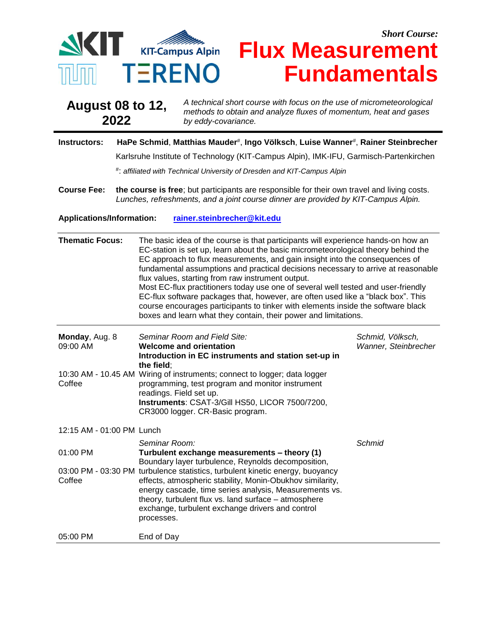

## *Short Course:* **SINT KIT-Campus Alpin Flux Measurement Fundamentals**

| <b>August 08 to 12,</b> | A technical short course with focus on the use of micrometeorological                   |
|-------------------------|-----------------------------------------------------------------------------------------|
| 2022                    | methods to obtain and analyze fluxes of momentum, heat and gases<br>by eddy-covariance. |

## **Instructors: HaPe Schmid**, **Matthias Mauder**# , **Ingo Völksch**, **Luise Wanner**# , **Rainer Steinbrecher**

Karlsruhe Institute of Technology (KIT-Campus Alpin), IMK-IFU, Garmisch-Partenkirchen

# : *affiliated with Technical University of Dresden and KIT-Campus Alpin*

**Course Fee: the course is free**; but participants are responsible for their own travel and living costs. *Lunches, refreshments, and a joint course dinner are provided by KIT-Campus Alpin.*

## **Applications/Information: [rainer.steinbrecher@kit.edu](mailto:rainer.steinbrecher@kit.edu)**

| <b>Thematic Focus:</b>     | The basic idea of the course is that participants will experience hands-on how an<br>EC-station is set up, learn about the basic micrometeorological theory behind the<br>EC approach to flux measurements, and gain insight into the consequences of<br>fundamental assumptions and practical decisions necessary to arrive at reasonable<br>flux values, starting from raw instrument output.<br>Most EC-flux practitioners today use one of several well tested and user-friendly<br>EC-flux software packages that, however, are often used like a "black box". This<br>course encourages participants to tinker with elements inside the software black<br>boxes and learn what they contain, their power and limitations. |                                          |  |
|----------------------------|---------------------------------------------------------------------------------------------------------------------------------------------------------------------------------------------------------------------------------------------------------------------------------------------------------------------------------------------------------------------------------------------------------------------------------------------------------------------------------------------------------------------------------------------------------------------------------------------------------------------------------------------------------------------------------------------------------------------------------|------------------------------------------|--|
| Monday, Aug. 8<br>09:00 AM | Seminar Room and Field Site:<br><b>Welcome and orientation</b><br>Introduction in EC instruments and station set-up in<br>the field:                                                                                                                                                                                                                                                                                                                                                                                                                                                                                                                                                                                            | Schmid, Völksch,<br>Wanner, Steinbrecher |  |
| Coffee                     | 10:30 AM - 10.45 AM Wiring of instruments; connect to logger; data logger<br>programming, test program and monitor instrument<br>readings. Field set up.<br>Instruments: CSAT-3/Gill HS50, LICOR 7500/7200,<br>CR3000 logger. CR-Basic program.                                                                                                                                                                                                                                                                                                                                                                                                                                                                                 |                                          |  |
| 12:15 AM - 01:00 PM Lunch  |                                                                                                                                                                                                                                                                                                                                                                                                                                                                                                                                                                                                                                                                                                                                 |                                          |  |
| 01:00 PM                   | Seminar Room:<br>Turbulent exchange measurements - theory (1)<br>Boundary layer turbulence, Reynolds decomposition,                                                                                                                                                                                                                                                                                                                                                                                                                                                                                                                                                                                                             | Schmid                                   |  |
| Coffee                     | 03:00 PM - 03:30 PM turbulence statistics, turbulent kinetic energy, buoyancy<br>effects, atmospheric stability, Monin-Obukhov similarity,<br>energy cascade, time series analysis, Measurements vs.<br>theory, turbulent flux vs. land surface - atmosphere<br>exchange, turbulent exchange drivers and control<br>processes.                                                                                                                                                                                                                                                                                                                                                                                                  |                                          |  |
| 05:00 PM                   | End of Day                                                                                                                                                                                                                                                                                                                                                                                                                                                                                                                                                                                                                                                                                                                      |                                          |  |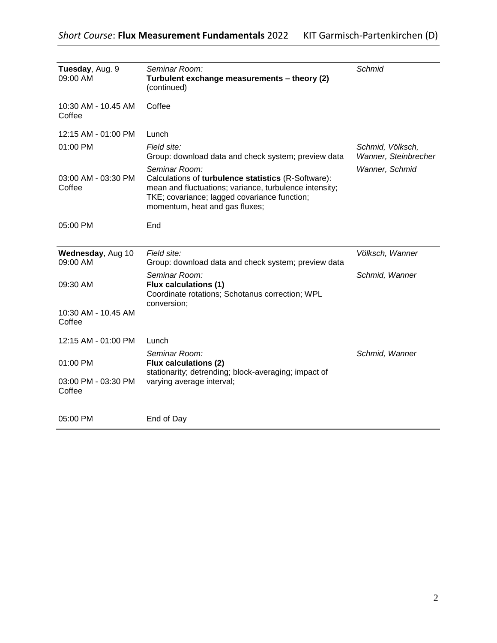| Tuesday, Aug. 9<br>09:00 AM   | Seminar Room:<br>Turbulent exchange measurements - theory (2)<br>(continued)                                                                                                                                     | Schmid                                   |
|-------------------------------|------------------------------------------------------------------------------------------------------------------------------------------------------------------------------------------------------------------|------------------------------------------|
| 10:30 AM - 10.45 AM<br>Coffee | Coffee                                                                                                                                                                                                           |                                          |
| 12:15 AM - 01:00 PM           | Lunch                                                                                                                                                                                                            |                                          |
| 01:00 PM                      | Field site:<br>Group: download data and check system; preview data                                                                                                                                               | Schmid, Völksch,<br>Wanner, Steinbrecher |
| 03:00 AM - 03:30 PM<br>Coffee | Seminar Room:<br>Calculations of turbulence statistics (R-Software):<br>mean and fluctuations; variance, turbulence intensity;<br>TKE; covariance; lagged covariance function;<br>momentum, heat and gas fluxes; | Wanner, Schmid                           |
| 05:00 PM                      | End                                                                                                                                                                                                              |                                          |
| Wednesday, Aug 10<br>09:00 AM | Field site:<br>Group: download data and check system; preview data                                                                                                                                               | Völksch, Wanner                          |
| 09:30 AM                      | Seminar Room:<br><b>Flux calculations (1)</b><br>Coordinate rotations; Schotanus correction; WPL<br>conversion;                                                                                                  | Schmid, Wanner                           |
| 10:30 AM - 10.45 AM<br>Coffee |                                                                                                                                                                                                                  |                                          |
| 12:15 AM - 01:00 PM           | Lunch                                                                                                                                                                                                            |                                          |
| 01:00 PM                      | Seminar Room:<br><b>Flux calculations (2)</b><br>stationarity; detrending; block-averaging; impact of                                                                                                            | Schmid, Wanner                           |
| 03:00 PM - 03:30 PM<br>Coffee | varying average interval;                                                                                                                                                                                        |                                          |
| 05:00 PM                      | End of Day                                                                                                                                                                                                       |                                          |